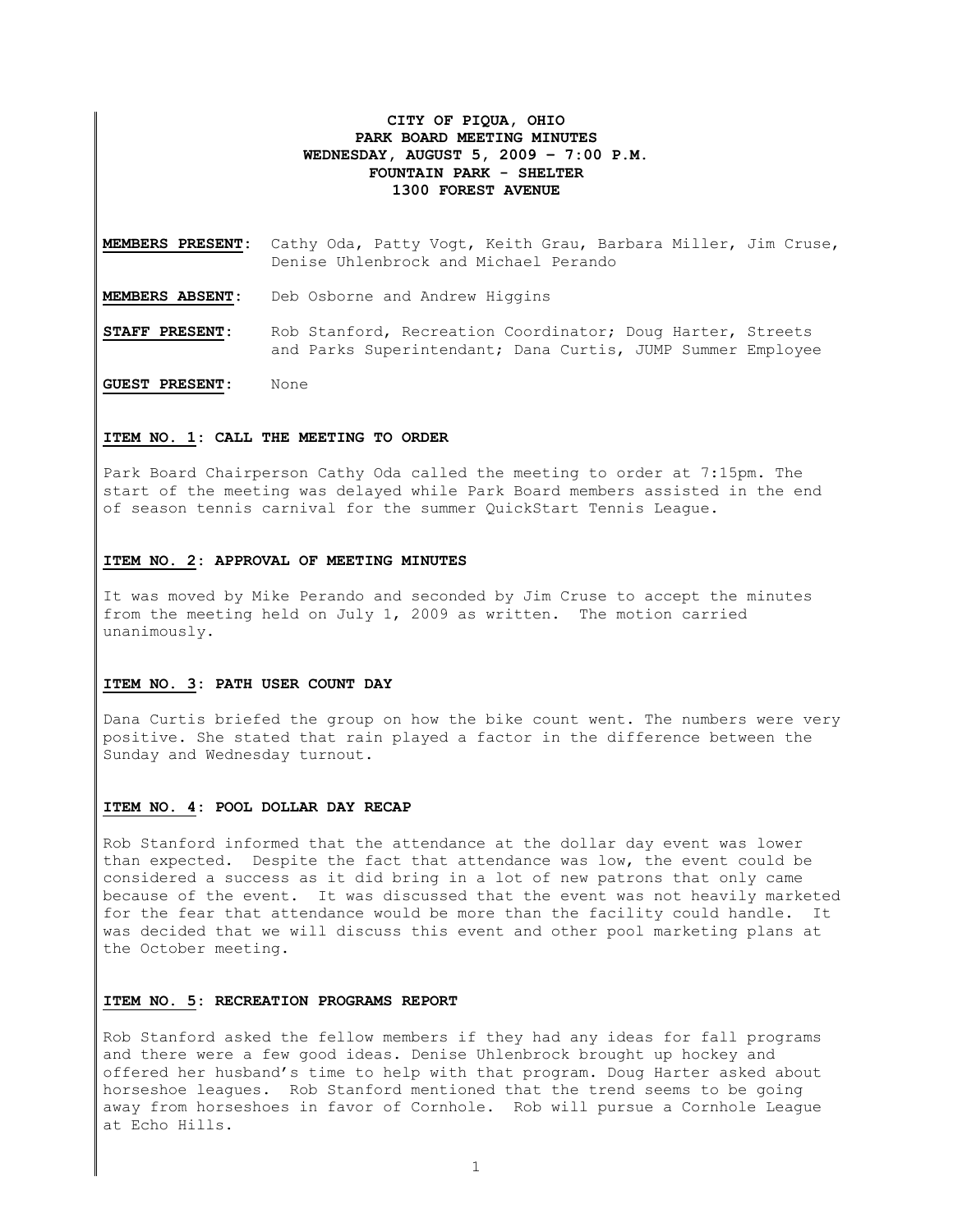# **CITY OF PIQUA, OHIO PARK BOARD MEETING MINUTES WEDNESDAY, AUGUST 5, 2009 – 7:00 P.M. FOUNTAIN PARK - SHELTER 1300 FOREST AVENUE**

**MEMBERS PRESENT:** Cathy Oda, Patty Vogt, Keith Grau, Barbara Miller, Jim Cruse, Denise Uhlenbrock and Michael Perando

**MEMBERS ABSENT:** Deb Osborne and Andrew Higgins

**STAFF PRESENT:** Rob Stanford, Recreation Coordinator; Doug Harter, Streets and Parks Superintendant; Dana Curtis, JUMP Summer Employee

**GUEST PRESENT:** None

## **ITEM NO. 1: CALL THE MEETING TO ORDER**

Park Board Chairperson Cathy Oda called the meeting to order at 7:15pm. The start of the meeting was delayed while Park Board members assisted in the end of season tennis carnival for the summer QuickStart Tennis League.

#### **ITEM NO. 2: APPROVAL OF MEETING MINUTES**

It was moved by Mike Perando and seconded by Jim Cruse to accept the minutes from the meeting held on July 1, 2009 as written. The motion carried unanimously.

## **ITEM NO. 3: PATH USER COUNT DAY**

Dana Curtis briefed the group on how the bike count went. The numbers were very positive. She stated that rain played a factor in the difference between the Sunday and Wednesday turnout.

#### **ITEM NO. 4: POOL DOLLAR DAY RECAP**

Rob Stanford informed that the attendance at the dollar day event was lower than expected. Despite the fact that attendance was low, the event could be considered a success as it did bring in a lot of new patrons that only came because of the event. It was discussed that the event was not heavily marketed for the fear that attendance would be more than the facility could handle. It was decided that we will discuss this event and other pool marketing plans at the October meeting.

### **ITEM NO. 5: RECREATION PROGRAMS REPORT**

Rob Stanford asked the fellow members if they had any ideas for fall programs and there were a few good ideas. Denise Uhlenbrock brought up hockey and offered her husband's time to help with that program. Doug Harter asked about horseshoe leagues. Rob Stanford mentioned that the trend seems to be going away from horseshoes in favor of Cornhole. Rob will pursue a Cornhole League at Echo Hills.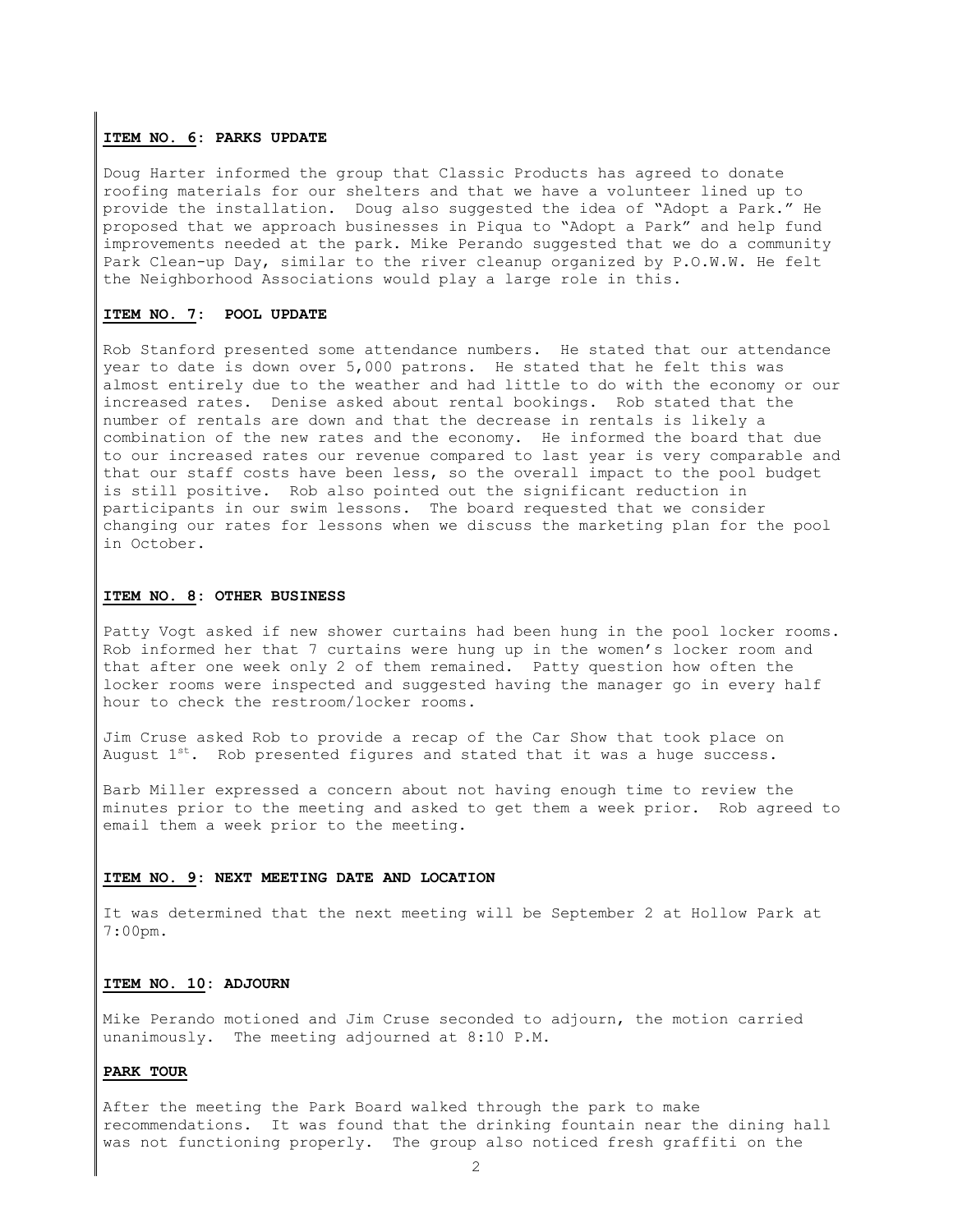## **ITEM NO. 6: PARKS UPDATE**

Doug Harter informed the group that Classic Products has agreed to donate roofing materials for our shelters and that we have a volunteer lined up to provide the installation. Doug also suggested the idea of "Adopt a Park." He proposed that we approach businesses in Piqua to "Adopt a Park" and help fund improvements needed at the park. Mike Perando suggested that we do a community Park Clean-up Day, similar to the river cleanup organized by P.O.W.W. He felt the Neighborhood Associations would play a large role in this.

### **ITEM NO. 7: POOL UPDATE**

Rob Stanford presented some attendance numbers. He stated that our attendance year to date is down over 5,000 patrons. He stated that he felt this was almost entirely due to the weather and had little to do with the economy or our increased rates. Denise asked about rental bookings. Rob stated that the number of rentals are down and that the decrease in rentals is likely a combination of the new rates and the economy. He informed the board that due to our increased rates our revenue compared to last year is very comparable and that our staff costs have been less, so the overall impact to the pool budget is still positive. Rob also pointed out the significant reduction in participants in our swim lessons. The board requested that we consider changing our rates for lessons when we discuss the marketing plan for the pool in October.

#### **ITEM NO. 8: OTHER BUSINESS**

Patty Vogt asked if new shower curtains had been hung in the pool locker rooms. Rob informed her that 7 curtains were hung up in the women's locker room and that after one week only 2 of them remained. Patty question how often the locker rooms were inspected and suggested having the manager go in every half hour to check the restroom/locker rooms.

Jim Cruse asked Rob to provide a recap of the Car Show that took place on August  $1^{st}$ . Rob presented figures and stated that it was a huge success.

Barb Miller expressed a concern about not having enough time to review the minutes prior to the meeting and asked to get them a week prior. Rob agreed to email them a week prior to the meeting.

#### **ITEM NO. 9: NEXT MEETING DATE AND LOCATION**

It was determined that the next meeting will be September 2 at Hollow Park at 7:00pm.

# **ITEM NO. 10: ADJOURN**

Mike Perando motioned and Jim Cruse seconded to adjourn, the motion carried unanimously. The meeting adjourned at 8:10 P.M.

#### **PARK TOUR**

After the meeting the Park Board walked through the park to make recommendations. It was found that the drinking fountain near the dining hall was not functioning properly. The group also noticed fresh graffiti on the